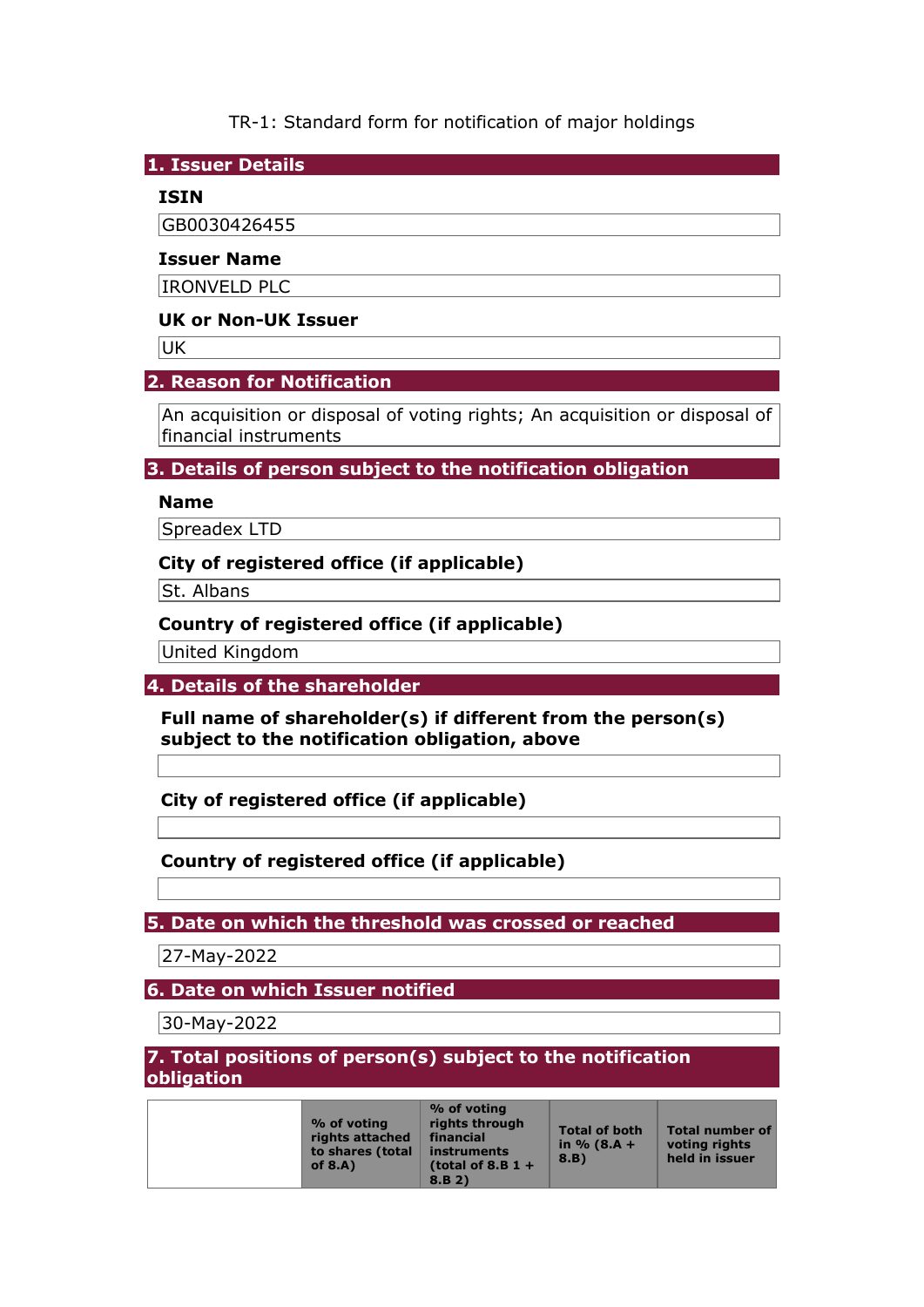TR-1: Standard form for notification of major holdings

**1. Issuer Details** 

#### **ISIN**

GB0030426455

#### **Issuer Name**

IRONVELD PLC

#### **UK or Non-UK Issuer**

**UK** 

## **2. Reason for Notification**

An acquisition or disposal of voting rights; An acquisition or disposal of financial instruments

## **3. Details of person subject to the notification obligation**

### **Name**

Spreadex LTD

#### **City of registered office (if applicable)**

St. Albans

## **Country of registered office (if applicable)**

United Kingdom

## **4. Details of the shareholder**

**Full name of shareholder(s) if different from the person(s) subject to the notification obligation, above** 

**City of registered office (if applicable)** 

## **Country of registered office (if applicable)**

**5. Date on which the threshold was crossed or reached** 

27-May-2022

**6. Date on which Issuer notified** 

30-May-2022

#### **7. Total positions of person(s) subject to the notification obligation**

| % of voting<br>rights attached<br>to shares (total | % of voting<br>rights through<br>financial<br>instruments | <b>Total of both</b><br>in $% (8.A +$ | Total number of<br>voting rights |
|----------------------------------------------------|-----------------------------------------------------------|---------------------------------------|----------------------------------|
| of $8.A$ )                                         | (total of 8.B $1 +$<br>8.B 2)                             | 8.B)                                  | held in issuer                   |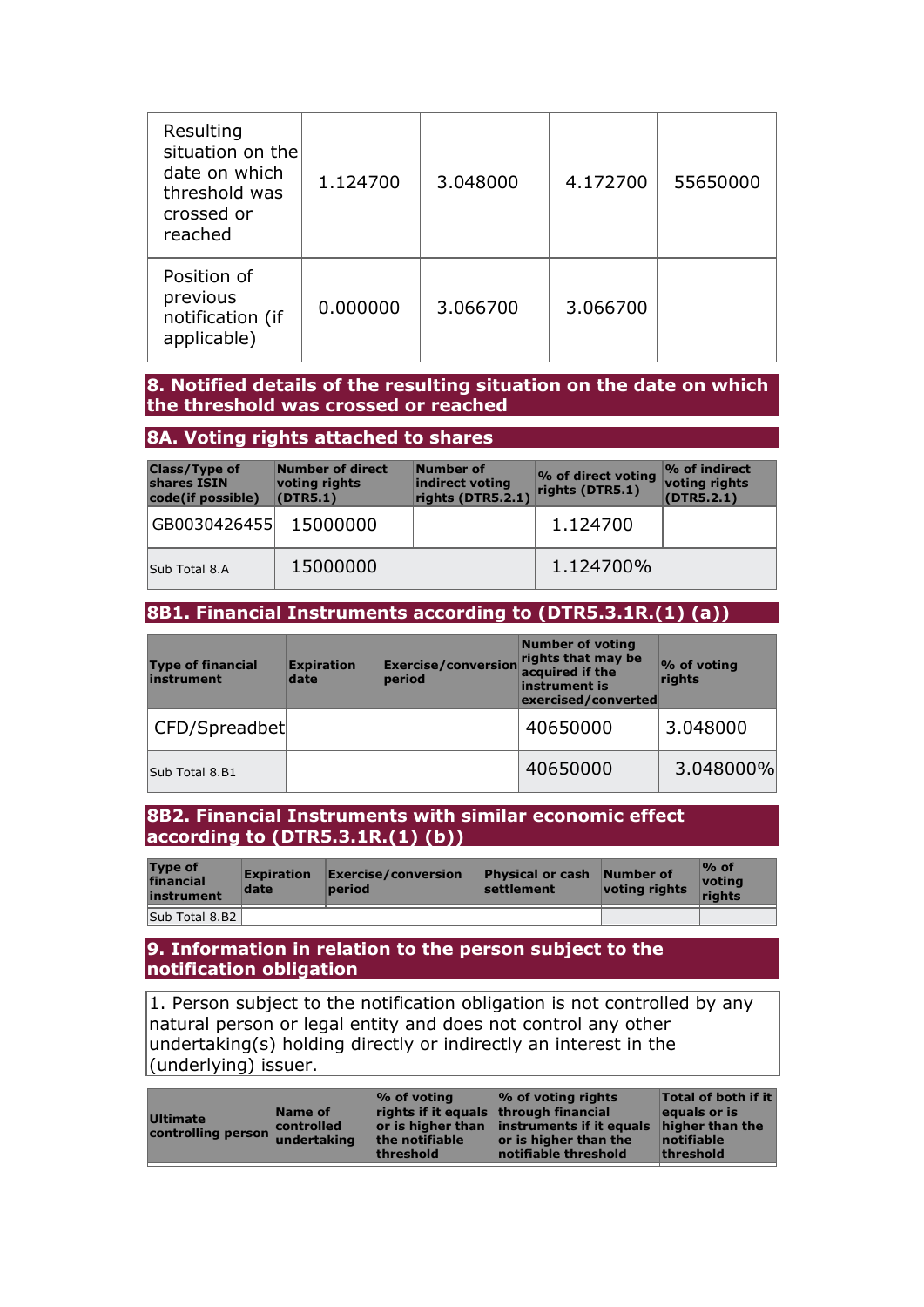| Resulting<br>situation on the<br>date on which<br>threshold was<br>crossed or<br>reached | 1.124700 | 3.048000 | 4.172700 | 55650000 |
|------------------------------------------------------------------------------------------|----------|----------|----------|----------|
| Position of<br>previous<br>notification (if<br>applicable)                               | 0.000000 | 3.066700 | 3.066700 |          |

#### **8. Notified details of the resulting situation on the date on which the threshold was crossed or reached**

### **8A. Voting rights attached to shares**

| <b>Class/Type of</b><br>shares ISIN<br>code(if possible) | Number of direct<br>voting rights<br>(DTR5.1) | Number of<br>indirect voting<br>rights (DTR5.2.1) | % of direct voting<br>rights (DTR5.1) | $\%$ of indirect<br>voting rights<br>(DTR5.2.1) |
|----------------------------------------------------------|-----------------------------------------------|---------------------------------------------------|---------------------------------------|-------------------------------------------------|
| GB0030426455 15000000                                    |                                               |                                                   | 1.124700                              |                                                 |
| Sub Total 8.A                                            | 15000000                                      |                                                   | 1.124700%                             |                                                 |

### **8B1. Financial Instruments according to (DTR5.3.1R.(1) (a))**

| <b>Type of financial</b><br>instrument | <b>Expiration</b><br>date | <b>Exercise/conversion</b><br>period | <b>Number of voting</b><br>rights that may be<br>acquired if the<br>instrument is<br>exercised/converted | % of voting<br>rights |
|----------------------------------------|---------------------------|--------------------------------------|----------------------------------------------------------------------------------------------------------|-----------------------|
| CFD/Spreadbet                          |                           |                                      | 40650000                                                                                                 | 3.048000              |
| Sub Total 8.B1                         |                           |                                      | 40650000                                                                                                 | 3.048000%             |

### **8B2. Financial Instruments with similar economic effect according to (DTR5.3.1R.(1) (b))**

| <b>Type of</b><br>financial<br>instrument | Expiration<br>date | $\mathsf{Exercise}/\mathsf{conversion}$<br>period | <b>Physical or cash Number of</b><br>settlement | voting rights | $\%$ of<br><u> votina</u><br>riahts |
|-------------------------------------------|--------------------|---------------------------------------------------|-------------------------------------------------|---------------|-------------------------------------|
| Sub Total 8.B2                            |                    |                                                   |                                                 |               |                                     |

# **9. Information in relation to the person subject to the notification obligation**

1. Person subject to the notification obligation is not controlled by any natural person or legal entity and does not control any other undertaking(s) holding directly or indirectly an interest in the (underlying) issuer.

| <b>Ultimate</b><br>controlling person | Name of<br>controlled<br>undertaking | $\%$ of voting<br><b>Trights if it equals through financial</b><br>the notifiable<br>threshold | $\%$ of voting rights<br>or is higher than instruments if it equals<br>or is higher than the<br>notifiable threshold | <b>Total of both if it</b><br>equals or is<br>higher than the<br>notifiable<br>threshold |
|---------------------------------------|--------------------------------------|------------------------------------------------------------------------------------------------|----------------------------------------------------------------------------------------------------------------------|------------------------------------------------------------------------------------------|
|                                       |                                      |                                                                                                |                                                                                                                      |                                                                                          |